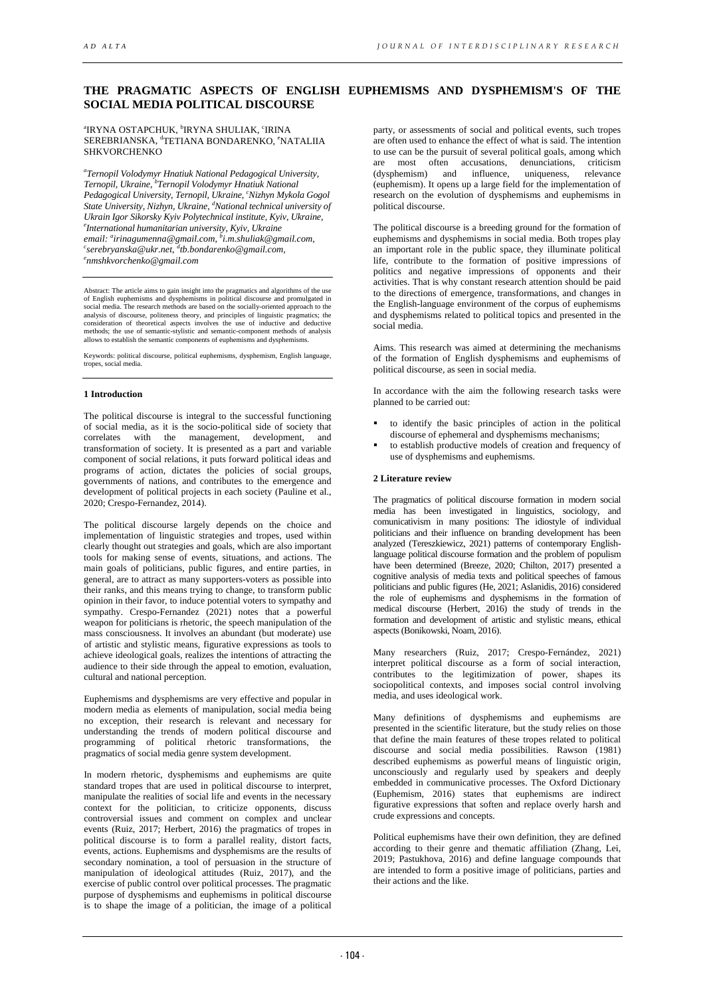# **THE PRAGMATIC ASPECTS OF ENGLISH EUPHEMISMS AND DYSPHEMISM'S OF THE SOCIAL MEDIA POLITICAL DISCOURSE**

#### ªIRYNA OSTAPCHUK, ʰIRYNA SHULIAK, ˁIRINA SEREBRIANSKA, <sup>d</sup>TETIANA BONDARENKO, <sup>e</sup>NATALIIA SHKVORCHENKO

*a Ternopil Volodymyr Hnatiuk National Pedagogical University, Ternopil, Ukraine, b Ternopil Volodymyr Hnatiuk National Pedagogical University, Ternopil, Ukraine, c Nizhyn Mykola Gogol State University, Nizhyn, Ukraine, d National technical university of Ukrain Igor Sikorsky Kyiv Polytechnical institute, Kyiv, Ukraine, e International humanitarian university, Kyiv, Ukraine email: a [irinagumenna@gmail.com,](mailto:irinagumenna@gmail.com) b [i.m.shuliak@gmail.com,](mailto:i.m.shuliak@gmail.com) c [serebryanska@ukr.net,](mailto:serebryanska@ukr.net) d [tb.bondarenko@gmail.com,](mailto:tb.bondarenko@gmail.com) e [nmshkvorchenko@gmail.com](mailto:nmshkvorchenko@gmail.com)*

Abstract: The article aims to gain insight into the pragmatics and algorithms of the use of English euphemisms and dysphemisms in political discourse and promulgated in social media. The research methods are based on the socially-oriented approach to the analysis of discourse, politeness theory, and principles of linguistic pragmatics; the consideration of theoretical aspects involves the use of inductive and deductive methods; the use of semantic-stylistic and semantic-component methods of analysis allows to establish the semantic components of euphemisms and dysphemisms.

Keywords: political discourse, political euphemisms, dysphemism, English language, tropes, social media.

# **1 Introduction**

The political discourse is integral to the successful functioning of social media, as it is the socio-political side of society that correlates with the management, development, and transformation of society. It is presented as a part and variable component of social relations, it puts forward political ideas and programs of action, dictates the policies of social groups, governments of nations, and contributes to the emergence and development of political projects in each society (Pauline et al., 2020; Crespo-Fernandez, 2014).

The political discourse largely depends on the choice and implementation of linguistic strategies and tropes, used within clearly thought out strategies and goals, which are also important tools for making sense of events, situations, and actions. The main goals of politicians, public figures, and entire parties, in general, are to attract as many supporters-voters as possible into their ranks, and this means trying to change, to transform public opinion in their favor, to induce potential voters to sympathy and sympathy. Crespo-Fernandez (2021) notes that a powerful weapon for politicians is rhetoric, the speech manipulation of the mass consciousness. It involves an abundant (but moderate) use of artistic and stylistic means, figurative expressions as tools to achieve ideological goals, realizes the intentions of attracting the audience to their side through the appeal to emotion, evaluation, cultural and national perception.

Euphemisms and dysphemisms are very effective and popular in modern media as elements of manipulation, social media being no exception, their research is relevant and necessary for understanding the trends of modern political discourse and programming of political rhetoric transformations, the pragmatics of social media genre system development.

In modern rhetoric, dysphemisms and euphemisms are quite standard tropes that are used in political discourse to interpret, manipulate the realities of social life and events in the necessary context for the politician, to criticize opponents, discuss controversial issues and comment on complex and unclear events (Ruiz, 2017; Herbert, 2016) the pragmatics of tropes in political discourse is to form a parallel reality, distort facts, events, actions. Euphemisms and dysphemisms are the results of secondary nomination, a tool of persuasion in the structure of manipulation of ideological attitudes (Ruiz, 2017), and the exercise of public control over political processes. The pragmatic purpose of dysphemisms and euphemisms in political discourse is to shape the image of a politician, the image of a political party, or assessments of social and political events, such tropes are often used to enhance the effect of what is said. The intention to use can be the pursuit of several political goals, among which are most often accusations, denunciations, criticism<br>(dysphemism) and influence, uniqueness, relevance  $(dysphemism)$  and influence, (euphemism). It opens up a large field for the implementation of research on the evolution of dysphemisms and euphemisms in political discourse.

The political discourse is a breeding ground for the formation of euphemisms and dysphemisms in social media. Both tropes play an important role in the public space, they illuminate political life, contribute to the formation of positive impressions of politics and negative impressions of opponents and their activities. That is why constant research attention should be paid to the directions of emergence, transformations, and changes in the English-language environment of the corpus of euphemisms and dysphemisms related to political topics and presented in the social media.

Aims. This research was aimed at determining the mechanisms of the formation of English dysphemisms and euphemisms of political discourse, as seen in social media.

In accordance with the aim the following research tasks were planned to be carried out:

- to identify the basic principles of action in the political discourse of ephemeral and dysphemisms mechanisms;
- to establish productive models of creation and frequency of use of dysphemisms and euphemisms.

### **2 Literature review**

The pragmatics of political discourse formation in modern social media has been investigated in linguistics, sociology, and comunicativism in many positions: The idiostyle of individual politicians and their influence on branding development has been analyzed (Tereszkiewicz, 2021) patterns of contemporary Englishlanguage political discourse formation and the problem of populism have been determined (Breeze, 2020; Chilton, 2017) presented a cognitive analysis of media texts and political speeches of famous politicians and public figures (He, 2021; Aslanidis, 2016) considered the role of euphemisms and dysphemisms in the formation of medical discourse (Herbert, 2016) the study of trends in the formation and development of artistic and stylistic means, ethical aspects (Bonikowski, Noam, 2016).

Many researchers (Ruiz, 2017; Crespo-Fernández, 2021) interpret political discourse as a form of social interaction, contributes to the legitimization of power, shapes its sociopolitical contexts, and imposes social control involving media, and uses ideological work.

Many definitions of dysphemisms and euphemisms are presented in the scientific literature, but the study relies on those that define the main features of these tropes related to political discourse and social media possibilities. Rawson (1981) described euphemisms as powerful means of linguistic origin. unconsciously and regularly used by speakers and deeply embedded in communicative processes. The Oxford Dictionary (Euphemism, 2016) states that euphemisms are indirect figurative expressions that soften and replace overly harsh and crude expressions and concepts.

Political euphemisms have their own definition, they are defined according to their genre and thematic affiliation (Zhang, Lei, 2019; Pastukhova, 2016) and define language compounds that are intended to form a positive image of politicians, parties and their actions and the like.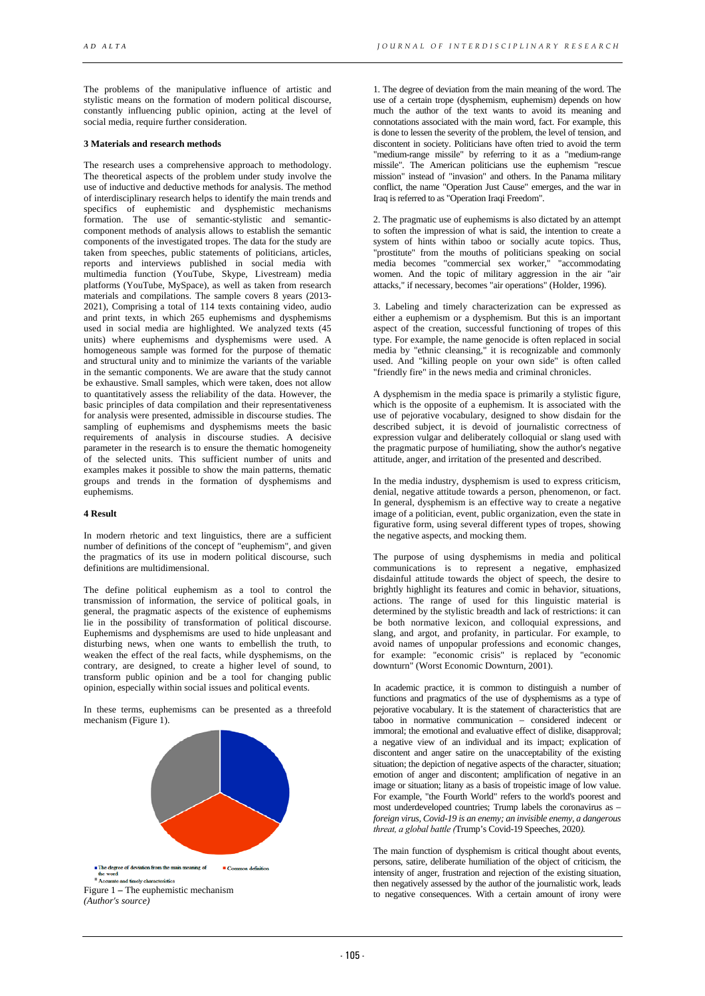The problems of the manipulative influence of artistic and stylistic means on the formation of modern political discourse, constantly influencing public opinion, acting at the level of social media, require further consideration.

#### **3 Materials and research methods**

The research uses a comprehensive approach to methodology. The theoretical aspects of the problem under study involve the use of inductive and deductive methods for analysis. The method of interdisciplinary research helps to identify the main trends and specifics of euphemistic and dysphemistic mechanisms formation. The use of semantic-stylistic and semanticcomponent methods of analysis allows to establish the semantic components of the investigated tropes. The data for the study are taken from speeches, public statements of politicians, articles, reports and interviews published in social media with multimedia function (YouTube, Skype, Livestream) media platforms (YouTube, MySpace), as well as taken from research materials and compilations. The sample covers 8 years (2013- 2021), Comprising a total of 114 texts containing video, audio and print texts, in which 265 euphemisms and dysphemisms used in social media are highlighted. We analyzed texts (45 units) where euphemisms and dysphemisms were used. A homogeneous sample was formed for the purpose of thematic and structural unity and to minimize the variants of the variable in the semantic components. We are aware that the study cannot be exhaustive. Small samples, which were taken, does not allow to quantitatively assess the reliability of the data. However, the basic principles of data compilation and their representativeness for analysis were presented, admissible in discourse studies. The sampling of euphemisms and dysphemisms meets the basic requirements of analysis in discourse studies. A decisive parameter in the research is to ensure the thematic homogeneity of the selected units. This sufficient number of units and examples makes it possible to show the main patterns, thematic groups and trends in the formation of dysphemisms and euphemisms.

### **4 Result**

In modern rhetoric and text linguistics, there are a sufficient number of definitions of the concept of "euphemism", and given the pragmatics of its use in modern political discourse, such definitions are multidimensional.

The define political euphemism as a tool to control the transmission of information, the service of political goals, in general, the pragmatic aspects of the existence of euphemisms lie in the possibility of transformation of political discourse. Euphemisms and dysphemisms are used to hide unpleasant and disturbing news, when one wants to embellish the truth, to weaken the effect of the real facts, while dysphemisms, on the contrary, are designed, to create a higher level of sound, to transform public opinion and be a tool for changing public opinion, especially within social issues and political events.

In these terms, euphemisms can be presented as a threefold mechanism (Figure 1).



1. The degree of deviation from the main meaning of the word. The use of a certain trope (dysphemism, euphemism) depends on how much the author of the text wants to avoid its meaning and connotations associated with the main word, fact. For example, this is done to lessen the severity of the problem, the level of tension, and discontent in society. Politicians have often tried to avoid the term "medium-range missile" by referring to it as a "medium-range missile". The American politicians use the euphemism "rescue mission" instead of "invasion" and others. In the Panama military conflict, the name "Operation Just Cause" emerges, and the war in Iraq is referred to as "Operation Iraqi Freedom".

2. The pragmatic use of euphemisms is also dictated by an attempt to soften the impression of what is said, the intention to create a system of hints within taboo or socially acute topics. Thus, "prostitute" from the mouths of politicians speaking on social media becomes "commercial sex worker," "accommodating women. And the topic of military aggression in the air "air attacks," if necessary, becomes "air operations" (Holder, 1996).

3. Labeling and timely characterization can be expressed as either a euphemism or a dysphemism. But this is an important aspect of the creation, successful functioning of tropes of this type. For example, the name genocide is often replaced in social media by "ethnic cleansing," it is recognizable and commonly used. And "killing people on your own side" is often called "friendly fire" in the news media and criminal chronicles.

A dysphemism in the media space is primarily a stylistic figure, which is the opposite of a euphemism. It is associated with the use of pejorative vocabulary, designed to show disdain for the described subject, it is devoid of journalistic correctness of expression vulgar and deliberately colloquial or slang used with the pragmatic purpose of humiliating, show the author's negative attitude, anger, and irritation of the presented and described.

In the media industry, dysphemism is used to express criticism, denial, negative attitude towards a person, phenomenon, or fact. In general, dysphemism is an effective way to create a negative image of a politician, event, public organization, even the state in figurative form, using several different types of tropes, showing the negative aspects, and mocking them.

The purpose of using dysphemisms in media and political communications is to represent a negative, emphasized disdainful attitude towards the object of speech, the desire to brightly highlight its features and comic in behavior, situations, actions. The range of used for this linguistic material is determined by the stylistic breadth and lack of restrictions: it can be both normative lexicon, and colloquial expressions, and slang, and argot, and profanity, in particular. For example, to avoid names of unpopular professions and economic changes, for example: "economic crisis" is replaced by "economic downturn" (Worst Economic Downturn, 2001).

In academic practice, it is common to distinguish a number of functions and pragmatics of the use of dysphemisms as a type of pejorative vocabulary. It is the statement of characteristics that are taboo in normative communication – considered indecent or immoral; the emotional and evaluative effect of dislike, disapproval; a negative view of an individual and its impact; explication of discontent and anger satire on the unacceptability of the existing situation; the depiction of negative aspects of the character, situation; emotion of anger and discontent; amplification of negative in an image or situation; litany as a basis of tropeistic image of low value. For example, "the Fourth World" refers to the world's poorest and most underdeveloped countries; Trump labels the coronavirus as – *foreign virus, Covid-19 is an enemy; an invisible enemy, a dangerous threat, а global battle (*Trump's Covid-19 Speeches, 2020*).* 

The main function of dysphemism is critical thought about events, persons, satire, deliberate humiliation of the object of criticism, the intensity of anger, frustration and rejection of the existing situation, then negatively assessed by the author of the journalistic work, leads to negative consequences. With a certain amount of irony were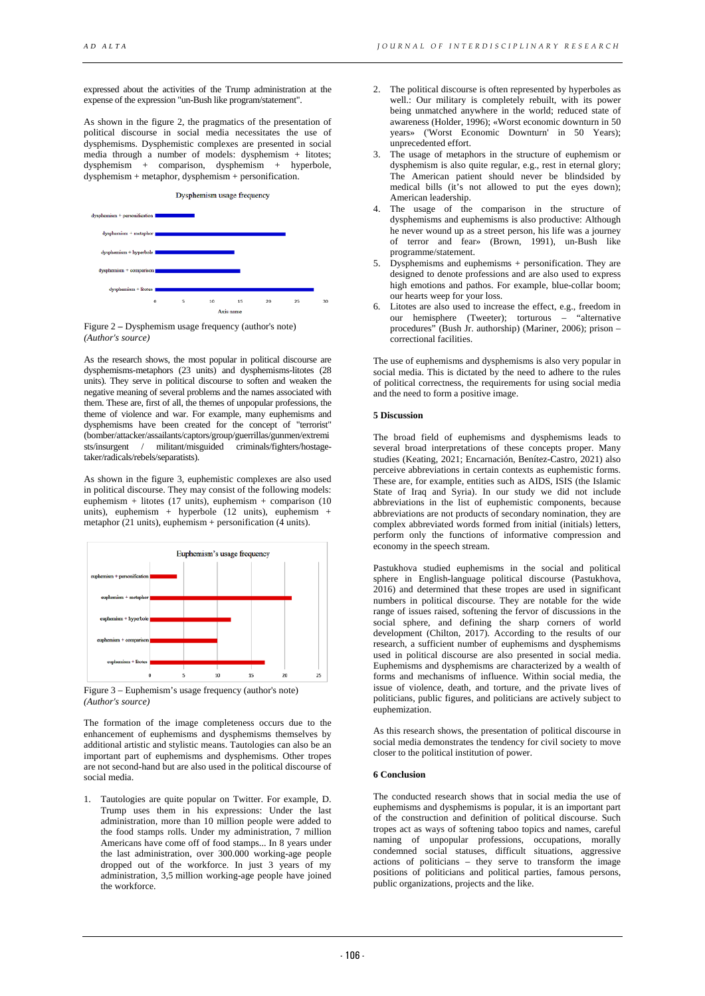expressed about the activities of the Trump administration at the expense of the expression "un-Bush like program/statement".

As shown in the figure 2, the pragmatics of the presentation of political discourse in social media necessitates the use of dysphemisms. Dysphemistic complexes are presented in social media through a number of models: dysphemism + litotes; dysphemism + comparison, dysphemism + hyperbole,  $dysphemism + metaphor, dysphemism + personification.$ 

Dysphemism usage frequency



Figure 2 **–** Dysphemism usage frequency (author's note) *(Author's source)*

As the research shows, the most popular in political discourse are dysphemisms-metaphors (23 units) and dysphemisms-litotes (28 units). They serve in political discourse to soften and weaken the negative meaning of several problems and the names associated with them. These are, first of all, the themes of unpopular professions, the theme of violence and war. For example, many euphemisms and dysphemisms have been created for the concept of "terrorist" (bomber/attacker/assailants/captors/group/guerrillas/gunmen/extremi sts/insurgent / militant/misguided criminals/fighters/hostagetaker/radicals/rebels/separatists).

As shown in the figure 3, euphemistic complexes are also used in political discourse. They may consist of the following models: euphemism + litotes (17 units), euphemism + comparison (10 units), euphemism + hyperbole (12 units), euphemism + metaphor (21 units), euphemism + personification (4 units).



Figure 3 – Euphemism's usage frequency (author's note) *(Author's source)*

The formation of the image completeness occurs due to the enhancement of euphemisms and dysphemisms themselves by additional artistic and stylistic means. Tautologies can also be an important part of euphemisms and dysphemisms. Other tropes are not second-hand but are also used in the political discourse of social media.

1. Tautologies are quite popular on Twitter. For example, D. Trump uses them in his expressions: Under the last administration, more than 10 million people were added to the food stamps rolls. Under my administration, 7 million Americans have come off of food stamps... In 8 years under the last administration, over 300.000 working-age people dropped out of the workforce. In just 3 years of my administration, 3,5 million working-age people have joined the workforce.

- 2. The political discourse is often represented by hyperboles as well.: Our military is completely rebuilt, with its power being unmatched anywhere in the world; reduced state of awareness (Holder, 1996); «Worst economic downturn in 50 years» ('Worst Economic Downturn' in 50 Years); unprecedented effort.
- The usage of metaphors in the structure of euphemism or dysphemism is also quite regular, e.g., rest in eternal glory; The American patient should never be blindsided by medical bills (it's not allowed to put the eyes down); American leadership.
- The usage of the comparison in the structure of dysphemisms and euphemisms is also productive: Although he never wound up as a street person, his life was a journey of terror and fear» (Brown, 1991), un-Bush like programme/statement.
- Dysphemisms and euphemisms + personification. They are designed to denote professions and are also used to express high emotions and pathos. For example, blue-collar boom; our hearts weep for your loss.
- 6. Litotes are also used to increase the effect, e.g., freedom in our hemisphere (Tweeter); torturous – "alternative procedures" (Bush Jr. authorship) (Mariner, 2006); prison – correctional facilities.

The use of euphemisms and dysphemisms is also very popular in social media. This is dictated by the need to adhere to the rules of political correctness, the requirements for using social media and the need to form a positive image.

### **5 Discussion**

The broad field of euphemisms and dysphemisms leads to several broad interpretations of these concepts proper. Many studies (Keating, 2021; Encarnación, Benítez-Castro, 2021) also perceive abbreviations in certain contexts as euphemistic forms. These are, for example, entities such as AIDS, ISIS (the Islamic State of Iraq and Syria). In our study we did not include abbreviations in the list of euphemistic components, because abbreviations are not products of secondary nomination, they are complex abbreviated words formed from initial (initials) letters, perform only the functions of informative compression and economy in the speech stream.

Pastukhova studied euphemisms in the social and political sphere in English-language political discourse (Pastukhova, 2016) and determined that these tropes are used in significant numbers in political discourse. They are notable for the wide range of issues raised, softening the fervor of discussions in the social sphere, and defining the sharp corners of world development (Chilton, 2017). According to the results of our research, a sufficient number of euphemisms and dysphemisms used in political discourse are also presented in social media. Euphemisms and dysphemisms are characterized by a wealth of forms and mechanisms of influence. Within social media, the issue of violence, death, and torture, and the private lives of politicians, public figures, and politicians are actively subject to euphemization.

As this research shows, the presentation of political discourse in social media demonstrates the tendency for civil society to move closer to the political institution of power.

#### **6 Conclusion**

The conducted research shows that in social media the use of euphemisms and dysphemisms is popular, it is an important part of the construction and definition of political discourse. Such tropes act as ways of softening taboo topics and names, careful naming of unpopular professions, occupations, morally condemned social statuses, difficult situations, aggressive actions of politicians – they serve to transform the image positions of politicians and political parties, famous persons, public organizations, projects and the like.